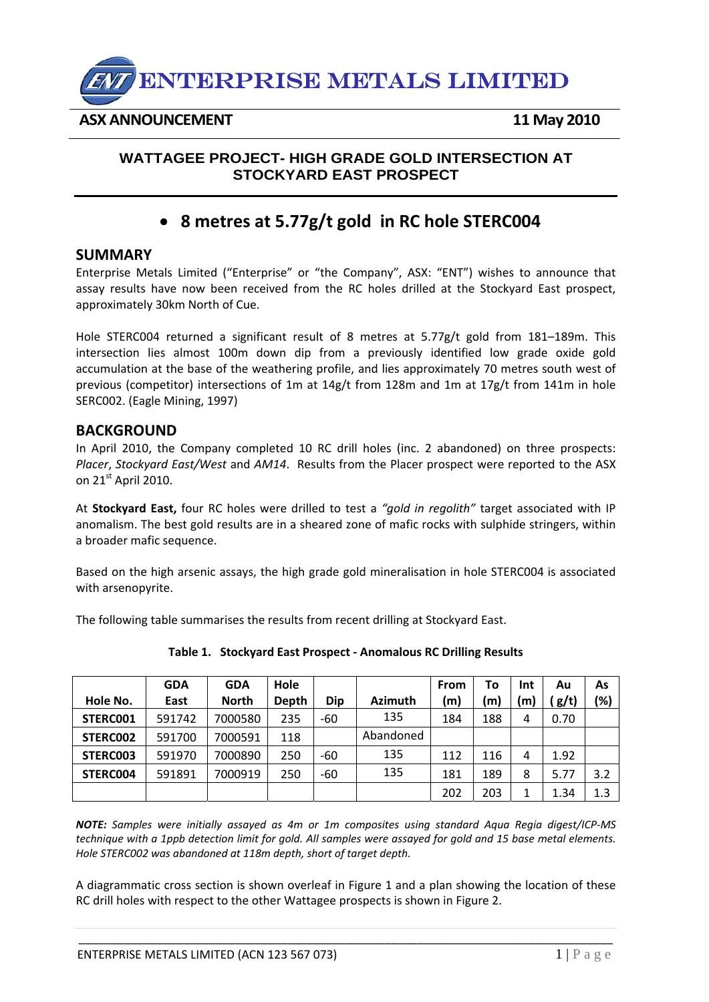

**ASX ANNOUNCEMENT 11 May 2010** 

## **WATTAGEE PROJECT- HIGH GRADE GOLD INTERSECTION AT STOCKYARD EAST PROSPECT**

## • **8 metres at 5.77g/t gold in RC hole STERC004**

## **SUMMARY**

Enterprise Metals Limited ("Enterprise" or "the Company", ASX: "ENT") wishes to announce that assay results have now been received from the RC holes drilled at the Stockyard East prospect, approximately 30km North of Cue.

Hole STERC004 returned a significant result of 8 metres at 5.77g/t gold from 181–189m. This intersection lies almost 100m down dip from a previously identified low grade oxide gold accumulation at the base of the weathering profile, and lies approximately 70 metres south west of previous (competitor) intersections of 1m at 14g/t from 128m and 1m at 17g/t from 141m in hole SERC002. (Eagle Mining, 1997)

## **BACKGROUND**

In April 2010, the Company completed 10 RC drill holes (inc. 2 abandoned) on three prospects: *Placer*, *Stockyard East/West* and *AM14*. Results from the Placer prospect were reported to the ASX on  $21<sup>st</sup>$  April 2010.

At **Stockyard East,** four RC holes were drilled to test a *"gold in regolith"* target associated with IP anomalism. The best gold results are in a sheared zone of mafic rocks with sulphide stringers, within a broader mafic sequence.

Based on the high arsenic assays, the high grade gold mineralisation in hole STERC004 is associated with arsenopyrite.

The following table summarises the results from recent drilling at Stockyard East.

|          | <b>GDA</b> | <b>GDA</b>   | Hole  |            |                | <b>From</b> | To           | Int | Αu   | As  |
|----------|------------|--------------|-------|------------|----------------|-------------|--------------|-----|------|-----|
| Hole No. | East       | <b>North</b> | Depth | <b>Dip</b> | <b>Azimuth</b> | (m)         | $\mathsf{m}$ | m   | g/t) | (%) |
| STERC001 | 591742     | 7000580      | 235   | -60        | 135            | 184         | 188          | 4   | 0.70 |     |
| STERC002 | 591700     | 7000591      | 118   |            | Abandoned      |             |              |     |      |     |
| STERC003 | 591970     | 7000890      | 250   | -60        | 135            | 112         | 116          | 4   | 1.92 |     |
| STERC004 | 591891     | 7000919      | 250   | -60        | 135            | 181         | 189          | 8   | 5.77 | 3.2 |
|          |            |              |       |            |                | 202         | 203          | 1   | 1.34 | 1.3 |

**Table 1. Stockyard East Prospect ‐ Anomalous RC Drilling Results**

*NOTE: Samples were initially assayed as 4m or 1m composites using standard Aqua Regia digest/ICP‐MS* technique with a 1ppb detection limit for gold. All samples were assayed for gold and 15 base metal elements. *Hole STERC002 was abandoned at 118m depth, short of target depth.*

A diagrammatic cross section is shown overleaf in Figure 1 and a plan showing the location of these RC drill holes with respect to the other Wattagee prospects is shown in Figure 2.

\_\_\_\_\_\_\_\_\_\_\_\_\_\_\_\_\_\_\_\_\_\_\_\_\_\_\_\_\_\_\_\_\_\_\_\_\_\_\_\_\_\_\_\_\_\_\_\_\_\_\_\_\_\_\_\_\_\_\_\_\_\_\_\_\_\_\_\_\_\_\_\_\_\_\_\_\_\_\_\_\_\_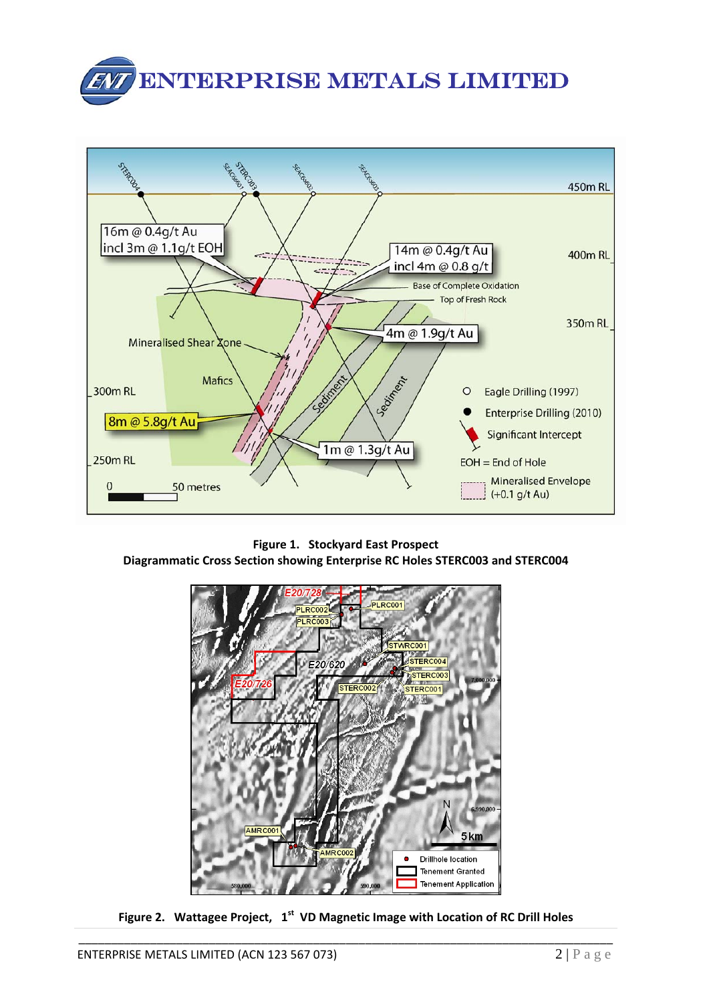



**Figure 1. Stockyard East Prospect Diagrammatic Cross Section showing Enterprise RC Holes STERC003 and STERC004**



\_\_\_\_\_\_\_\_\_\_\_\_\_\_\_\_\_\_\_\_\_\_\_\_\_\_\_\_\_\_\_\_\_\_\_\_\_\_\_\_\_\_\_\_\_\_\_\_\_\_\_\_\_\_\_\_\_\_\_\_\_\_\_\_\_\_\_\_\_\_\_\_\_\_\_\_\_\_\_\_\_\_ **Figure 2. Wattagee Project, 1st VD Magnetic Image with Location of RC Drill Holes**